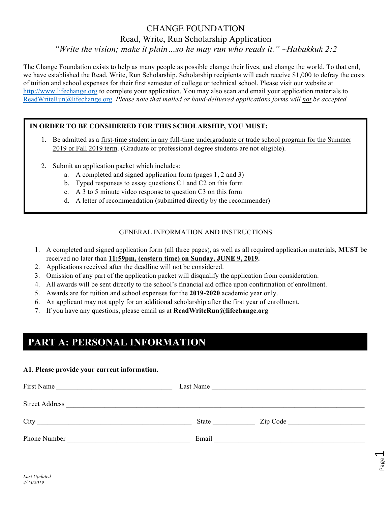### CHANGE FOUNDATION Read, Write, Run Scholarship Application *"Write the vision; make it plain…so he may run who reads it." ~Habakkuk 2:2*

The Change Foundation exists to help as many people as possible change their lives, and change the world. To that end, we have established the Read, Write, Run Scholarship. Scholarship recipients will each receive \$1,000 to defray the costs of tuition and school expenses for their first semester of college or technical school. Please visit our website at http://www.lifechange.org to complete your application. You may also scan and email your application materials to ReadWriteRun@lifechange.org. *Please note that mailed or hand-delivered applications forms will not be accepted.*

### **IN ORDER TO BE CONSIDERED FOR THIS SCHOLARSHIP, YOU MUST:**

- 1. Be admitted as a first-time student in any full-time undergraduate or trade school program for the Summer 2019 or Fall 2019 term. (Graduate or professional degree students are not eligible).
- 2. Submit an application packet which includes:
	- a. A completed and signed application form (pages 1, 2 and 3)
	- b. Typed responses to essay questions C1 and C2 on this form
	- c. A 3 to 5 minute video response to question C3 on this form
	- d. A letter of recommendation (submitted directly by the recommender)

#### GENERAL INFORMATION AND INSTRUCTIONS

- 1. A completed and signed application form (all three pages), as well as all required application materials, **MUST** be received no later than **11:59pm, (eastern time) on Sunday, JUNE 9, 2019.**
- 2. Applications received after the deadline will not be considered.
- 3. Omission of any part of the application packet will disqualify the application from consideration.
- 4. All awards will be sent directly to the school's financial aid office upon confirmation of enrollment.
- 5. Awards are for tuition and school expenses for the **2019-2020** academic year only.
- 6. An applicant may not apply for an additional scholarship after the first year of enrollment.
- 7. If you have any questions, please email us at **ReadWriteRun@lifechange.org**

# **PART A: PERSONAL INFORMATION**

#### **A1. Please provide your current information.**

| First Name                                          | Last Name |          |
|-----------------------------------------------------|-----------|----------|
| <b>Street Address</b>                               |           |          |
| City<br><u> 1980 - Jan Samuel Barbara, martin d</u> | State     | Zip Code |
| Phone Number                                        | Email     |          |

Page  $\overline{\phantom{0}}$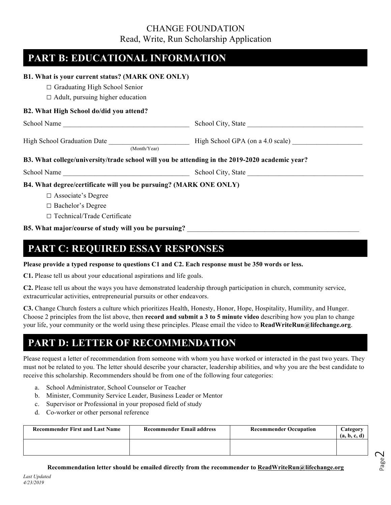### CHANGE FOUNDATION Read, Write, Run Scholarship Application

## **PART B: EDUCATIONAL INFORMATION**

| B1. What is your current status? (MARK ONE ONLY)                                               |                                  |
|------------------------------------------------------------------------------------------------|----------------------------------|
| $\Box$ Graduating High School Senior                                                           |                                  |
| $\Box$ Adult, pursuing higher education                                                        |                                  |
| B2. What High School do/did you attend?                                                        |                                  |
|                                                                                                | School City, State               |
| <b>High School Graduation Date</b><br>(Month/Year)                                             | High School GPA (on a 4.0 scale) |
| B3. What college/university/trade school will you be attending in the 2019-2020 academic year? |                                  |
| School Name School City, State School City, State                                              |                                  |
| B4. What degree/certificate will you be pursuing? (MARK ONE ONLY)                              |                                  |
| $\Box$ Associate's Degree                                                                      |                                  |
| $\Box$ Bachelor's Degree                                                                       |                                  |
| $\Box$ Technical/Trade Certificate                                                             |                                  |

#### **B5. What major/course of study will you be pursuing?** \_\_\_\_\_\_\_\_\_\_\_\_\_\_\_\_\_\_\_\_\_\_\_\_\_\_\_\_\_\_\_\_\_\_\_\_\_\_\_\_\_\_\_\_\_\_\_\_\_

### **PART C: REQUIRED ESSAY RESPONSES**

**Please provide a typed response to questions C1 and C2. Each response must be 350 words or less.**

**C1.** Please tell us about your educational aspirations and life goals.

**C2.** Please tell us about the ways you have demonstrated leadership through participation in church, community service, extracurricular activities, entrepreneurial pursuits or other endeavors.

**C3.** Change Church fosters a culture which prioritizes Health, Honesty, Honor, Hope, Hospitality, Humility, and Hunger. Choose 2 principles from the list above, then **record and submit a 3 to 5 minute video** describing how you plan to change your life, your community or the world using these principles. Please email the video to **ReadWriteRun@lifechange.org**.

## **PART D: LETTER OF RECOMMENDATION**

Please request a letter of recommendation from someone with whom you have worked or interacted in the past two years. They must not be related to you. The letter should describe your character, leadership abilities, and why you are the best candidate to receive this scholarship. Recommenders should be from one of the following four categories:

- a. School Administrator, School Counselor or Teacher
- b. Minister, Community Service Leader, Business Leader or Mentor
- c. Supervisor or Professional in your proposed field of study
- d. Co-worker or other personal reference

| <b>Recommender First and Last Name</b> | <b>Recommender Email address</b> | <b>Recommender Occupation</b> | Category<br>(a, b, c, d) |
|----------------------------------------|----------------------------------|-------------------------------|--------------------------|
|                                        |                                  |                               |                          |

**Recommendation letter should be emailed directly from the recommender to ReadWriteRun@lifechange.org**

Page  $\mathrel{\sim}$